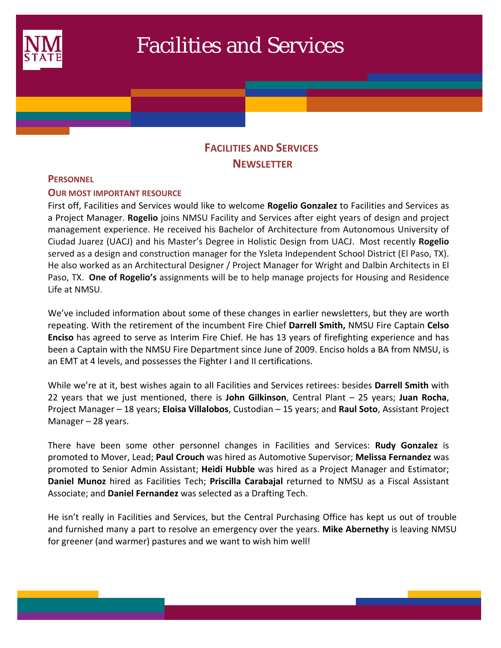

# Facilities and Services

# **FACILITIES AND SERVICES NEWSLETTER**

#### **PERSONNEL**

 $\mathcal{L}(\mathcal{L})$ 

## **OUR MOST IMPORTANT RESOURCE**

First off, Facilities and Services would like to welcome **Rogelio Gonzalez** to Facilities and Services as a Project Manager. **Rogelio** joins NMSU Facility and Services after eight years of design and project management experience. He received his Bachelor of Architecture from Autonomous University of Ciudad Juarez (UACJ) and his Master's Degree in Holistic Design from UACJ. Most recently **Rogelio** served as a design and construction manager for the Ysleta Independent School District (El Paso, TX). He also worked as an Architectural Designer / Project Manager for Wright and Dalbin Architects in El Paso, TX. **One of Rogelio's** assignments will be to help manage projects for Housing and Residence Life at NMSU.

We've included information about some of these changes in earlier newsletters, but they are worth repeating. With the retirement of the incumbent Fire Chief **Darrell Smith,** NMSU Fire Captain **Celso Enciso** has agreed to serve as Interim Fire Chief. He has 13 years of firefighting experience and has been a Captain with the NMSU Fire Department since June of 2009. Enciso holds a BA from NMSU, is an EMT at 4 levels, and possesses the Fighter I and II certifications.

While we're at it, best wishes again to all Facilities and Services retirees: besides **Darrell Smith** with 22 years that we just mentioned, there is **John Gilkinson**, Central Plant – 25 years; **Juan Rocha**, Project Manager – 18 years; **Eloisa Villalobos**, Custodian – 15 years; and **Raul Soto**, Assistant Project Manager – 28 years.

There have been some other personnel changes in Facilities and Services: **Rudy Gonzalez** is promoted to Mover, Lead; **Paul Crouch** was hired as Automotive Supervisor; **Melissa Fernandez** was promoted to Senior Admin Assistant; **Heidi Hubble** was hired as a Project Manager and Estimator; **Daniel Munoz** hired as Facilities Tech; **Priscilla Carabajal** returned to NMSU as a Fiscal Assistant Associate; and **Daniel Fernandez** was selected as a Drafting Tech.

He isn't really in Facilities and Services, but the Central Purchasing Office has kept us out of trouble and furnished many a part to resolve an emergency over the years. **Mike Abernethy** is leaving NMSU for greener (and warmer) pastures and we want to wish him well!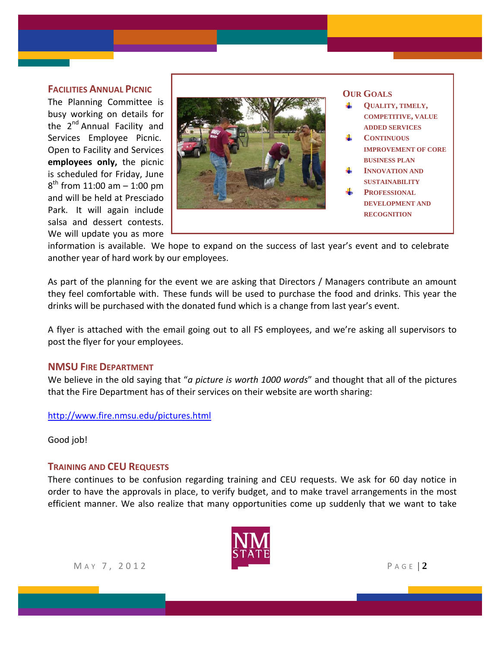#### **FACILITIES ANNUAL PICNIC**

The Planning Committee is busy working on details for the 2<sup>nd</sup> Annual Facility and Services Employee Picnic. Open to Facility and Services **employees only,** the picnic is scheduled for Friday, June  $8^{th}$  from 11:00 am  $-$  1:00 pm and will be held at Presciado Park. It will again include salsa and dessert contests. We will update you as more



information is available. We hope to expand on the success of last year's event and to celebrate another year of hard work by our employees.

As part of the planning for the event we are asking that Directors / Managers contribute an amount they feel comfortable with. These funds will be used to purchase the food and drinks. This year the drinks will be purchased with the donated fund which is a change from last year's event.

A flyer is attached with the email going out to all FS employees, and we're asking all supervisors to post the flyer for your employees.

#### **NMSU FIRE DEPARTMENT**

We believe in the old saying that "*a picture is worth 1000 words*" and thought that all of the pictures that the Fire Department has of their services on their website are worth sharing:

http://www.fire.nmsu.edu/pictures.html

Good job!

#### **TRAINING AND CEU REQUESTS**

There continues to be confusion regarding training and CEU requests. We ask for 60 day notice in order to have the approvals in place, to verify budget, and to make travel arrangements in the most efficient manner. We also realize that many opportunities come up suddenly that we want to take



M A Y 7, 2012 **P** A G E | 2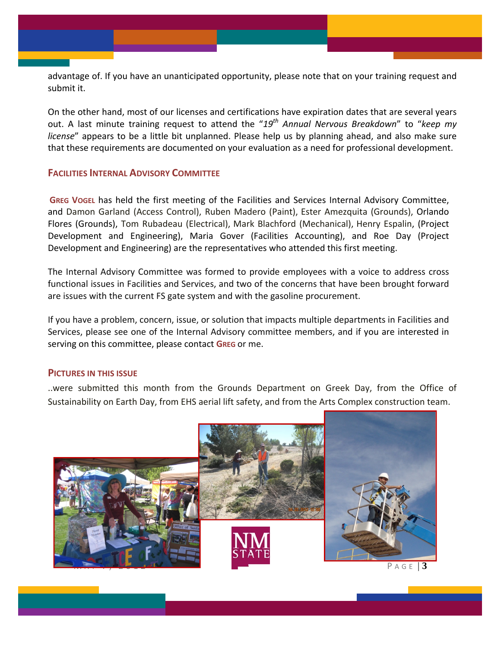advantage of. If you have an unanticipated opportunity, please note that on your training request and submit it.

On the other hand, most of our licenses and certifications have expiration dates that are several years out. A last minute training request to attend the "*19th Annual Nervous Breakdown*" to "*keep my license*" appears to be a little bit unplanned. Please help us by planning ahead, and also make sure that these requirements are documented on your evaluation as a need for professional development.

### **FACILITIES INTERNAL ADVISORY COMMITTEE**

**GREG VOGEL** has held the first meeting of the Facilities and Services Internal Advisory Committee, and Damon Garland (Access Control), Ruben Madero (Paint), Ester Amezquita (Grounds), Orlando Flores (Grounds), Tom Rubadeau (Electrical), Mark Blachford (Mechanical), Henry Espalin, (Project Development and Engineering), Maria Gover (Facilities Accounting), and Roe Day (Project Development and Engineering) are the representatives who attended this first meeting.

The Internal Advisory Committee was formed to provide employees with a voice to address cross functional issues in Facilities and Services, and two of the concerns that have been brought forward are issues with the current FS gate system and with the gasoline procurement.

If you have a problem, concern, issue, or solution that impacts multiple departments in Facilities and Services, please see one of the Internal Advisory committee members, and if you are interested in serving on this committee, please contact **GREG** or me.

#### **PICTURES IN THIS ISSUE**

..were submitted this month from the Grounds Department on Greek Day, from the Office of Sustainability on Earth Day, from EHS aerial lift safety, and from the Arts Complex construction team.